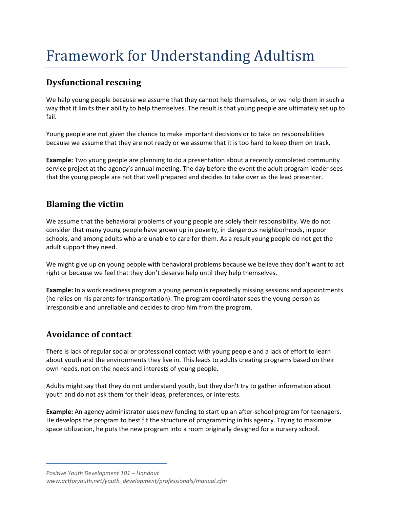# Framework for Understanding Adultism

## **Dysfunctional rescuing**

We help young people because we assume that they cannot help themselves, or we help them in such a way that it limits their ability to help themselves. The result is that young people are ultimately set up to fail.

Young people are not given the chance to make important decisions or to take on responsibilities because we assume that they are not ready or we assume that it is too hard to keep them on track.

**Example:** Two young people are planning to do a presentation about a recently completed community service project at the agency's annual meeting. The day before the event the adult program leader sees that the young people are not that well prepared and decides to take over as the lead presenter.

## **Blaming the victim**

We assume that the behavioral problems of young people are solely their responsibility. We do not consider that many young people have grown up in poverty, in dangerous neighborhoods, in poor schools, and among adults who are unable to care for them. As a result young people do not get the adult support they need.

We might give up on young people with behavioral problems because we believe they don't want to act right or because we feel that they don't deserve help until they help themselves.

**Example:** In a work readiness program a young person is repeatedly missing sessions and appointments (he relies on his parents for transportation). The program coordinator sees the young person as irresponsible and unreliable and decides to drop him from the program.

### **Avoidance of contact**

There is lack of regular social or professional contact with young people and a lack of effort to learn about youth and the environments they live in. This leads to adults creating programs based on their own needs, not on the needs and interests of young people.

Adults might say that they do not understand youth, but they don't try to gather information about youth and do not ask them for their ideas, preferences, or interests.

**Example:** An agency administrator uses new funding to start up an after‐school program for teenagers. He develops the program to best fit the structure of programming in his agency. Trying to maximize space utilization, he puts the new program into a room originally designed for a nursery school.

*Positive Youth Development 101 – Handout www.actforyouth.net/youth\_development/professionals/manual.cfm*